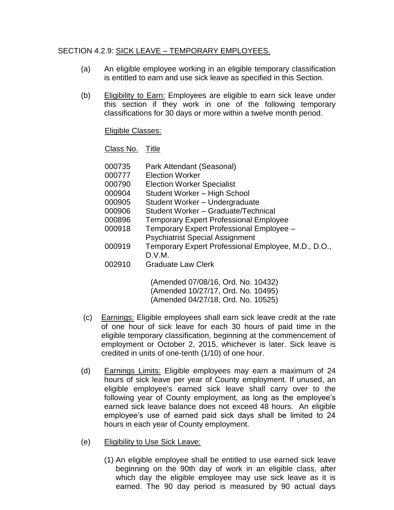## SECTION 4.2.9: SICK LEAVE – TEMPORARY EMPLOYEES.

- (a) An eligible employee working in an eligible temporary classification is entitled to earn and use sick leave as specified in this Section.
- (b) Eligibility to Earn: Employees are eligible to earn sick leave under this section if they work in one of the following temporary classifications for 30 days or more within a twelve month period.

## Eligible Classes:

Class No. Title

| 000735 | Park Attendant (Seasonal)                           |
|--------|-----------------------------------------------------|
| 000777 | <b>Election Worker</b>                              |
| 000790 | <b>Election Worker Specialist</b>                   |
| 000904 | Student Worker - High School                        |
| 000905 | Student Worker - Undergraduate                      |
| 000906 | Student Worker - Graduate/Technical                 |
| 000896 | <b>Temporary Expert Professional Employee</b>       |
| 000918 | Temporary Expert Professional Employee -            |
|        | <b>Psychiatrist Special Assignment</b>              |
| 000919 | Temporary Expert Professional Employee, M.D., D.O., |
|        | D.V.M.                                              |
| 002910 | <b>Graduate Law Clerk</b>                           |
|        | (Amended 07/08/16, Ord. No. 10432)                  |

(Amended 10/27/17, Ord. No. 10495) (Amended 04/27/18, Ord. No. 10525)

- (c) Earnings: Eligible employees shall earn sick leave credit at the rate of one hour of sick leave for each 30 hours of paid time in the eligible temporary classification, beginning at the commencement of employment or October 2, 2015, whichever is later. Sick leave is credited in units of one-tenth (1/10) of one hour.
- (d) Earnings Limits: Eligible employees may earn a maximum of 24 hours of sick leave per year of County employment. If unused, an eligible employee's earned sick leave shall carry over to the following year of County employment, as long as the employee's earned sick leave balance does not exceed 48 hours. An eligible employee's use of earned paid sick days shall be limited to 24 hours in each year of County employment.
- (e) Eligibility to Use Sick Leave:
	- (1) An eligible employee shall be entitled to use earned sick leave beginning on the 90th day of work in an eligible class, after which day the eligible employee may use sick leave as it is earned. The 90 day period is measured by 90 actual days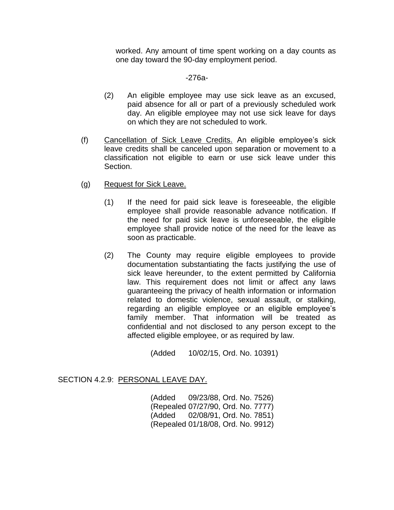worked. Any amount of time spent working on a day counts as one day toward the 90-day employment period.

## -276a-

- (2) An eligible employee may use sick leave as an excused, paid absence for all or part of a previously scheduled work day. An eligible employee may not use sick leave for days on which they are not scheduled to work.
- (f) Cancellation of Sick Leave Credits. An eligible employee's sick leave credits shall be canceled upon separation or movement to a classification not eligible to earn or use sick leave under this Section.
- (g) Request for Sick Leave.
	- (1) If the need for paid sick leave is foreseeable, the eligible employee shall provide reasonable advance notification. If the need for paid sick leave is unforeseeable, the eligible employee shall provide notice of the need for the leave as soon as practicable.
	- (2) The County may require eligible employees to provide documentation substantiating the facts justifying the use of sick leave hereunder, to the extent permitted by California law. This requirement does not limit or affect any laws guaranteeing the privacy of health information or information related to domestic violence, sexual assault, or stalking, regarding an eligible employee or an eligible employee's family member. That information will be treated as confidential and not disclosed to any person except to the affected eligible employee, or as required by law.

(Added 10/02/15, Ord. No. 10391)

## SECTION 4.2.9: PERSONAL LEAVE DAY.

(Added 09/23/88, Ord. No. 7526) (Repealed 07/27/90, Ord. No. 7777) (Added 02/08/91, Ord. No. 7851) (Repealed 01/18/08, Ord. No. 9912)